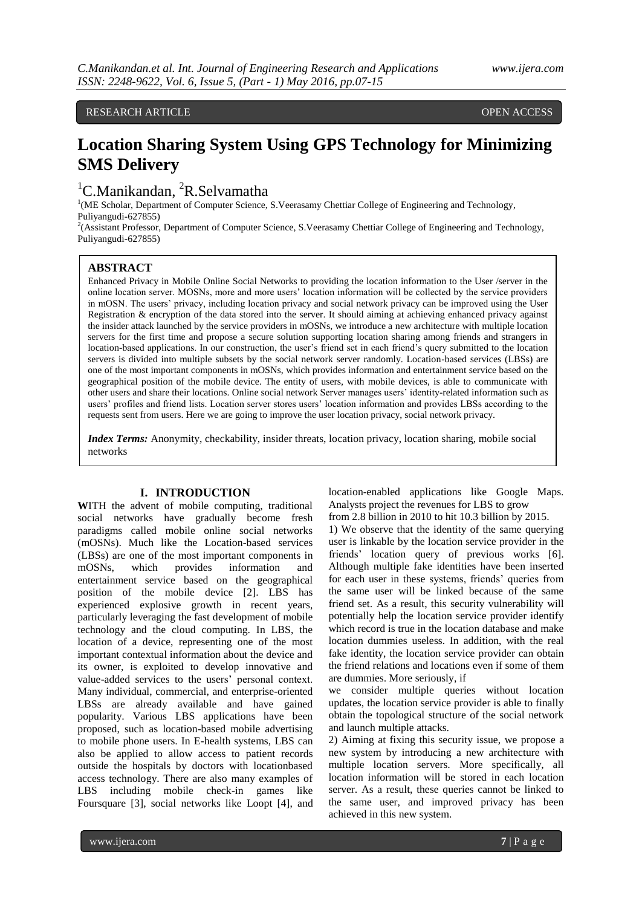## RESEARCH ARTICLE OPEN ACCESS

# **Location Sharing System Using GPS Technology for Minimizing SMS Delivery**

## <sup>1</sup>C.Manikandan, <sup>2</sup>R.Selvamatha

<sup>1</sup>(ME Scholar, Department of Computer Science, S.Veerasamy Chettiar College of Engineering and Technology, Puliyangudi-627855)

<sup>2</sup>(Assistant Professor, Department of Computer Science, S.Veerasamy Chettiar College of Engineering and Technology, Puliyangudi-627855)

## **ABSTRACT**

Enhanced Privacy in Mobile Online Social Networks to providing the location information to the User /server in the online location server. MOSNs, more and more users' location information will be collected by the service providers in mOSN. The users' privacy, including location privacy and social network privacy can be improved using the User Registration & encryption of the data stored into the server. It should aiming at achieving enhanced privacy against the insider attack launched by the service providers in mOSNs, we introduce a new architecture with multiple location servers for the first time and propose a secure solution supporting location sharing among friends and strangers in location-based applications. In our construction, the user's friend set in each friend's query submitted to the location servers is divided into multiple subsets by the social network server randomly. Location-based services (LBSs) are one of the most important components in mOSNs, which provides information and entertainment service based on the geographical position of the mobile device. The entity of users, with mobile devices, is able to communicate with other users and share their locations. Online social network Server manages users' identity-related information such as users' profiles and friend lists. Location server stores users' location information and provides LBSs according to the requests sent from users. Here we are going to improve the user location privacy, social network privacy.

*Index Terms:* Anonymity, checkability, insider threats, location privacy, location sharing, mobile social networks

## **I. INTRODUCTION**

**W**ITH the advent of mobile computing, traditional social networks have gradually become fresh paradigms called mobile online social networks (mOSNs). Much like the Location-based services (LBSs) are one of the most important components in mOSNs, which provides information and entertainment service based on the geographical position of the mobile device [2]. LBS has experienced explosive growth in recent years, particularly leveraging the fast development of mobile technology and the cloud computing. In LBS, the location of a device, representing one of the most important contextual information about the device and its owner, is exploited to develop innovative and value-added services to the users' personal context. Many individual, commercial, and enterprise-oriented LBSs are already available and have gained popularity. Various LBS applications have been proposed, such as location-based mobile advertising to mobile phone users. In E-health systems, LBS can also be applied to allow access to patient records outside the hospitals by doctors with locationbased access technology. There are also many examples of LBS including mobile check-in games like Foursquare [3], social networks like Loopt [4], and

location-enabled applications like Google Maps. Analysts project the revenues for LBS to grow from 2.8 billion in 2010 to hit 10.3 billion by 2015. 1) We observe that the identity of the same querying user is linkable by the location service provider in the friends' location query of previous works [6]. Although multiple fake identities have been inserted for each user in these systems, friends' queries from the same user will be linked because of the same friend set. As a result, this security vulnerability will potentially help the location service provider identify which record is true in the location database and make location dummies useless. In addition, with the real fake identity, the location service provider can obtain the friend relations and locations even if some of them are dummies. More seriously, if

we consider multiple queries without location updates, the location service provider is able to finally obtain the topological structure of the social network and launch multiple attacks.

2) Aiming at fixing this security issue, we propose a new system by introducing a new architecture with multiple location servers. More specifically, all location information will be stored in each location server. As a result, these queries cannot be linked to the same user, and improved privacy has been achieved in this new system.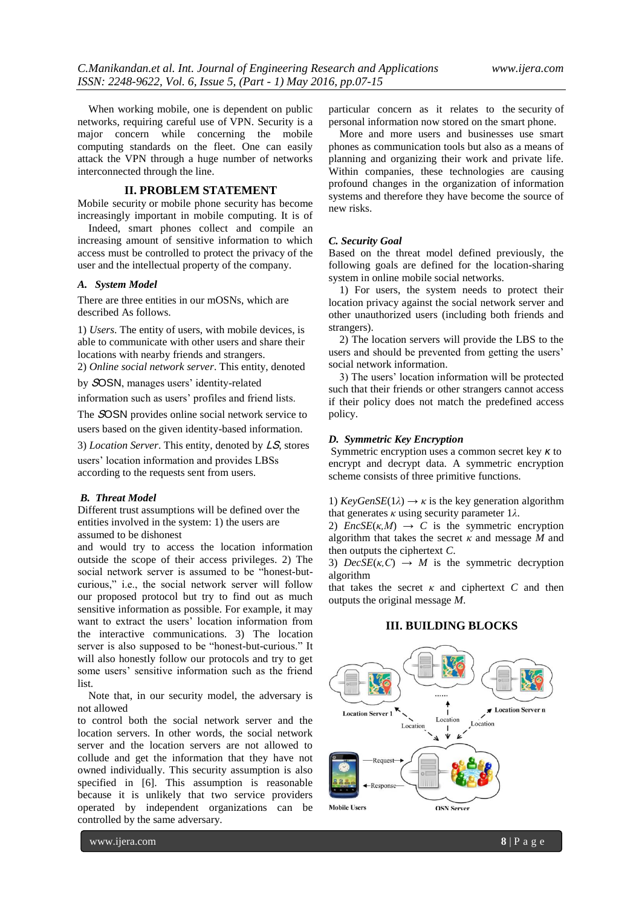When working mobile, one is dependent on public networks, requiring careful use of [VPN.](https://en.wikipedia.org/wiki/Virtual_private_networks) Security is a major concern while concerning the mobile computing standards on the fleet. One can easily attack the VPN through a huge number of networks interconnected through the line.

## **II. PROBLEM STATEMENT**

Mobile security or mobile phone security has become increasingly important in mobile computing. It is of

Indeed, smart phones collect and compile an increasing amount of sensitive information to which access must be controlled to protect the [privacy](https://en.wikipedia.org/wiki/Information_privacy) of the user and the [intellectual property](https://en.wikipedia.org/wiki/Intellectual_property) of the company.

## *A. System Model*

There are three entities in our mOSNs, which are described As follows.

1) *Users*. The entity of users, with mobile devices, is able to communicate with other users and share their locations with nearby friends and strangers.

2) *Online social network server*. This entity, denoted

by SOSN, manages users' identity-related information such as users' profiles and friend lists.

The SOSN provides online social network service to users based on the given identity-based information.

3) *Location Server*. This entity, denoted by LS, stores users' location information and provides LBSs according to the requests sent from users.

#### *B. Threat Model*

Different trust assumptions will be defined over the entities involved in the system: 1) the users are assumed to be dishonest

and would try to access the location information outside the scope of their access privileges. 2) The social network server is assumed to be "honest-butcurious," i.e., the social network server will follow our proposed protocol but try to find out as much sensitive information as possible. For example, it may want to extract the users' location information from the interactive communications. 3) The location server is also supposed to be "honest-but-curious." It will also honestly follow our protocols and try to get some users' sensitive information such as the friend list.

Note that, in our security model, the adversary is not allowed

to control both the social network server and the location servers. In other words, the social network server and the location servers are not allowed to collude and get the information that they have not owned individually. This security assumption is also specified in [6]. This assumption is reasonable because it is unlikely that two service providers operated by independent organizations can be controlled by the same adversary.

particular concern as it relates to the [security](https://en.wikipedia.org/wiki/Information_security) of personal information now stored on the [smart phone.](https://en.wikipedia.org/wiki/Smartphone)

More and more users and businesses use smart phones as communication tools but also as a means of planning and organizing their work and private life. Within companies, these technologies are causing profound changes in the organization of [information](https://en.wikipedia.org/wiki/Information_systems)  [systems](https://en.wikipedia.org/wiki/Information_systems) and therefore they have become the source of new risks.

## *C. Security Goal*

Based on the threat model defined previously, the following goals are defined for the location-sharing system in online mobile social networks.

1) For users, the system needs to protect their location privacy against the social network server and other unauthorized users (including both friends and strangers).

2) The location servers will provide the LBS to the users and should be prevented from getting the users' social network information.

3) The users' location information will be protected such that their friends or other strangers cannot access if their policy does not match the predefined access policy.

## *D. Symmetric Key Encryption*

Symmetric encryption uses a common secret key *κ* to encrypt and decrypt data. A symmetric encryption scheme consists of three primitive functions.

1)  $KeyGenSE(1\lambda) \rightarrow \kappa$  is the key generation algorithm that generates *κ* using security parameter 1*λ*.

2)  $EncSE(\kappa, M) \rightarrow C$  is the symmetric encryption algorithm that takes the secret *κ* and message *M* and then outputs the ciphertext *C*.

3)  $DecSE(\kappa, C) \rightarrow M$  is the symmetric decryption algorithm

that takes the secret  $\kappa$  and ciphertext  $C$  and then outputs the original message *M*.

## **III. BUILDING BLOCKS**



www.ijera.com **8** | P a g e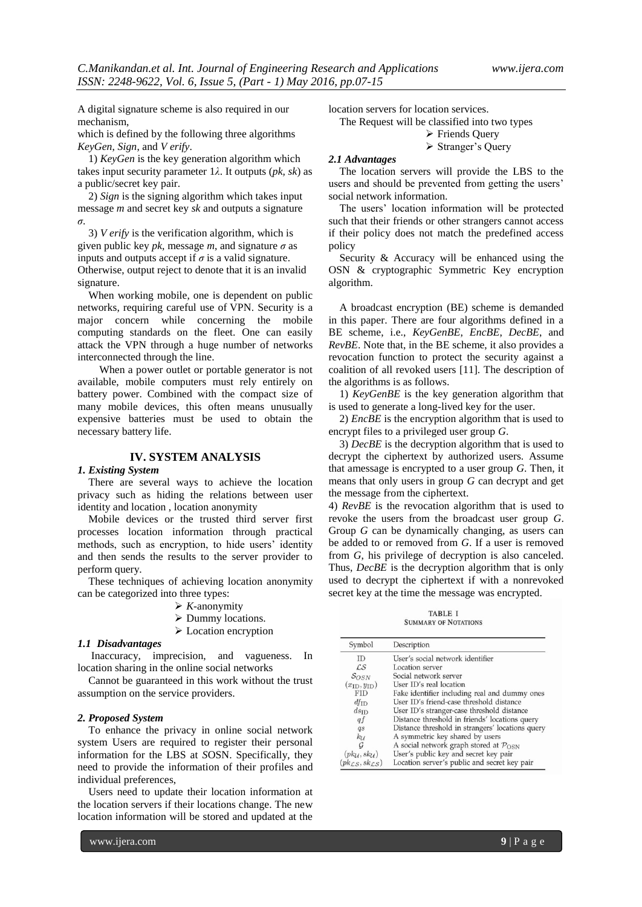A digital signature scheme is also required in our mechanism,

which is defined by the following three algorithms *KeyGen*, *Sign*, and *V erify*.

1) *KeyGen* is the key generation algorithm which takes input security parameter 1*λ*. It outputs (*pk, sk*) as a public/secret key pair.

2) *Sign* is the signing algorithm which takes input message *m* and secret key *sk* and outputs a signature *σ*.

3) *V erify* is the verification algorithm, which is given public key  $pk$ , message *m*, and signature  $\sigma$  as inputs and outputs accept if  $\sigma$  is a valid signature. Otherwise, output reject to denote that it is an invalid signature.

When working mobile, one is dependent on public networks, requiring careful use of [VPN.](https://en.wikipedia.org/wiki/Virtual_private_networks) Security is a major concern while concerning the mobile computing standards on the fleet. One can easily attack the VPN through a huge number of networks interconnected through the line.

When a power outlet or portable generator is not available, mobile computers must rely entirely on battery power. Combined with the compact size of many mobile devices, this often means unusually expensive batteries must be used to obtain the necessary battery life.

## **IV. SYSTEM ANALYSIS**

#### *1. Existing System*

There are several ways to achieve the location privacy such as hiding the relations between user identity and location , location anonymity

Mobile devices or the trusted third server first processes location information through practical methods, such as encryption, to hide users' identity and then sends the results to the server provider to perform query.

These techniques of achieving location anonymity can be categorized into three types:

- $\triangleright$  *K*-anonymity
- ▶ Dummy locations.
- $\triangleright$  Location encryption

#### *1.1 Disadvantages*

Inaccuracy, imprecision, and vagueness. In location sharing in the online social networks

Cannot be guaranteed in this work without the trust assumption on the service providers.

#### *2. Proposed System*

To enhance the privacy in online social network system Users are required to register their personal information for the LBS at *S*OSN. Specifically, they need to provide the information of their profiles and individual preferences,

Users need to update their location information at the location servers if their locations change. The new location information will be stored and updated at the location servers for location services.

The Request will be classified into two types

Friends Query

▶ Stranger's Query

## *2.1 Advantages*

The location servers will provide the LBS to the users and should be prevented from getting the users' social network information.

The users' location information will be protected such that their friends or other strangers cannot access if their policy does not match the predefined access policy

Security & Accuracy will be enhanced using the OSN & cryptographic Symmetric Key encryption algorithm.

A broadcast encryption (BE) scheme is demanded in this paper. There are four algorithms defined in a BE scheme, i.e., *KeyGenBE*, *EncBE*, *DecBE*, and *RevBE*. Note that, in the BE scheme, it also provides a revocation function to protect the security against a coalition of all revoked users [11]. The description of the algorithms is as follows.

1) *KeyGenBE* is the key generation algorithm that is used to generate a long-lived key for the user.

2) *EncBE* is the encryption algorithm that is used to encrypt files to a privileged user group *G*.

3) *DecBE* is the decryption algorithm that is used to decrypt the ciphertext by authorized users. Assume that amessage is encrypted to a user group *G*. Then, it means that only users in group *G* can decrypt and get the message from the ciphertext.

4) *RevBE* is the revocation algorithm that is used to revoke the users from the broadcast user group *G*. Group *G* can be dynamically changing, as users can be added to or removed from *G*. If a user is removed from *G*, his privilege of decryption is also canceled. Thus, *DecBE* is the decryption algorithm that is only used to decrypt the ciphertext if with a nonrevoked secret key at the time the message was encrypted.

TABLE I **SUMMARY OF NOTATIONS** 

| Symbol                           | Description                                      |
|----------------------------------|--------------------------------------------------|
| ID                               | User's social network identifier                 |
| $\mathcal{L}S$                   | Location server                                  |
| $S_{OSN}$                        | Social network server                            |
| $(x_{\text{ID}}, y_{\text{ID}})$ | User ID's real location                          |
| <b>FID</b>                       | Fake identifier including real and dummy ones    |
| $df_{\text{ID}}$                 | User ID's friend-case threshold distance         |
| $ds_{\text{ID}}$                 | User ID's stranger-case threshold distance       |
| q f                              | Distance threshold in friends' locations query   |
| $q_{s}$                          | Distance threshold in strangers' locations query |
| $k_{\mathcal{U}}$                | A symmetric key shared by users                  |
| $\mathcal G$                     | A social network graph stored at $P_{\rm OSN}$   |
| $(pk_U, sk_U)$                   | User's public key and secret key pair            |
| $(pk_{CS}, sk_{CS})$             | Location server's public and secret key pair     |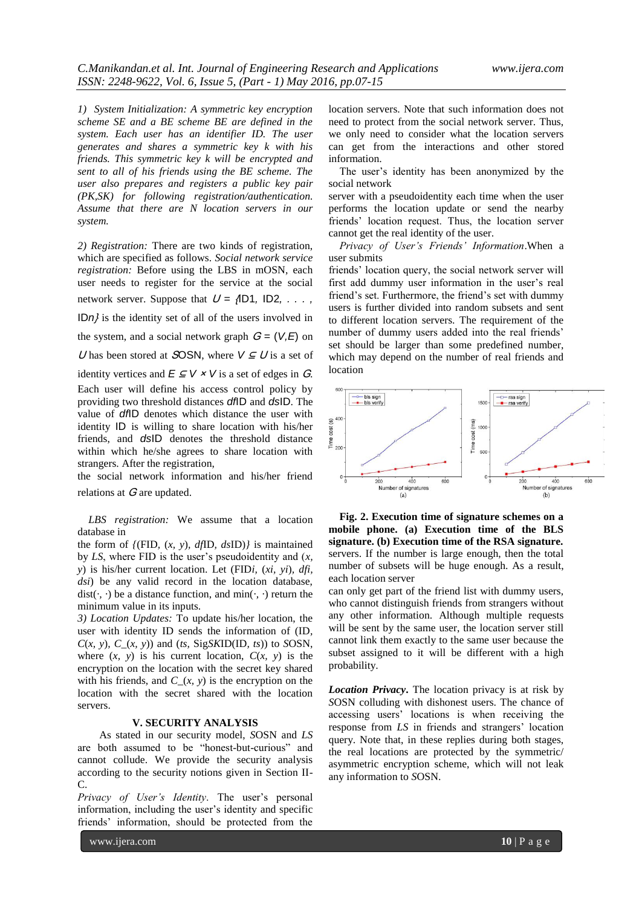*1) System Initialization: A symmetric key encryption scheme SE and a BE scheme BE are defined in the system. Each user has an identifier ID. The user generates and shares a symmetric key k with his friends. This symmetric key k will be encrypted and sent to all of his friends using the BE scheme. The user also prepares and registers a public key pair (PK,SK) for following registration/authentication. Assume that there are N location servers in our system.*

*2) Registration:* There are two kinds of registration, which are specified as follows. *Social network service registration:* Before using the LBS in mOSN, each user needs to register for the service at the social network server. Suppose that  $U = \{1D1, ID2, \ldots\}$ ID*n*} is the identity set of all of the users involved in the system, and a social network graph  $G = (V,E)$  on U has been stored at SOSN, where *V* <sup>⊆</sup> U is a set of identity vertices and  $E \subseteq V \times V$  is a set of edges in G. Each user will define his access control policy by providing two threshold distances *df*ID and *ds*ID. The

value of *df*ID denotes which distance the user with identity ID is willing to share location with his/her friends, and *ds*ID denotes the threshold distance within which he/she agrees to share location with strangers. After the registration,

the social network information and his/her friend relations at G are updated.

*LBS registration:* We assume that a location database in

the form of  $\{$ (FID,  $(x, y)$ ,  $df$ ID,  $ds$ ID) $\}$  is maintained by *LS*, where FID is the user's pseudoidentity and (*x, y*) is his/her current location. Let (FID*i,* (*xi, yi*)*, dfi, dsi*) be any valid record in the location database, dist(*·, ·*) be a distance function, and min(*·, ·*) return the minimum value in its inputs.

*3) Location Updates:* To update his/her location, the user with identity ID sends the information of (ID*, C*(*x, y*), *C* (*x, y*)) and (*ts, SigSKID*(ID, *ts*)) to *SOSN*, where  $(x, y)$  is his current location,  $C(x, y)$  is the encryption on the location with the secret key shared with his friends, and *C\_*(*x, y*) is the encryption on the location with the secret shared with the location servers.

## **V. SECURITY ANALYSIS**

As stated in our security model, *S*OSN and *LS*  are both assumed to be "honest-but-curious" and cannot collude. We provide the security analysis according to the security notions given in Section II-C.

*Privacy of User's Identity*. The user's personal information, including the user's identity and specific friends' information, should be protected from the location servers. Note that such information does not need to protect from the social network server. Thus, we only need to consider what the location servers can get from the interactions and other stored information.

The user's identity has been anonymized by the social network

server with a pseudoidentity each time when the user performs the location update or send the nearby friends' location request. Thus, the location server cannot get the real identity of the user.

*Privacy of User's Friends' Information*.When a user submits

friends' location query, the social network server will first add dummy user information in the user's real friend's set. Furthermore, the friend's set with dummy users is further divided into random subsets and sent to different location servers. The requirement of the number of dummy users added into the real friends' set should be larger than some predefined number, which may depend on the number of real friends and location



**Fig. 2. Execution time of signature schemes on a mobile phone. (a) Execution time of the BLS signature. (b) Execution time of the RSA signature.** servers. If the number is large enough, then the total number of subsets will be huge enough. As a result, each location server

can only get part of the friend list with dummy users, who cannot distinguish friends from strangers without any other information. Although multiple requests will be sent by the same user, the location server still cannot link them exactly to the same user because the subset assigned to it will be different with a high probability.

*Location Privacy***.** The location privacy is at risk by *S*OSN colluding with dishonest users. The chance of accessing users' locations is when receiving the response from *LS* in friends and strangers' location query. Note that, in these replies during both stages, the real locations are protected by the symmetric/ asymmetric encryption scheme, which will not leak any information to *S*OSN.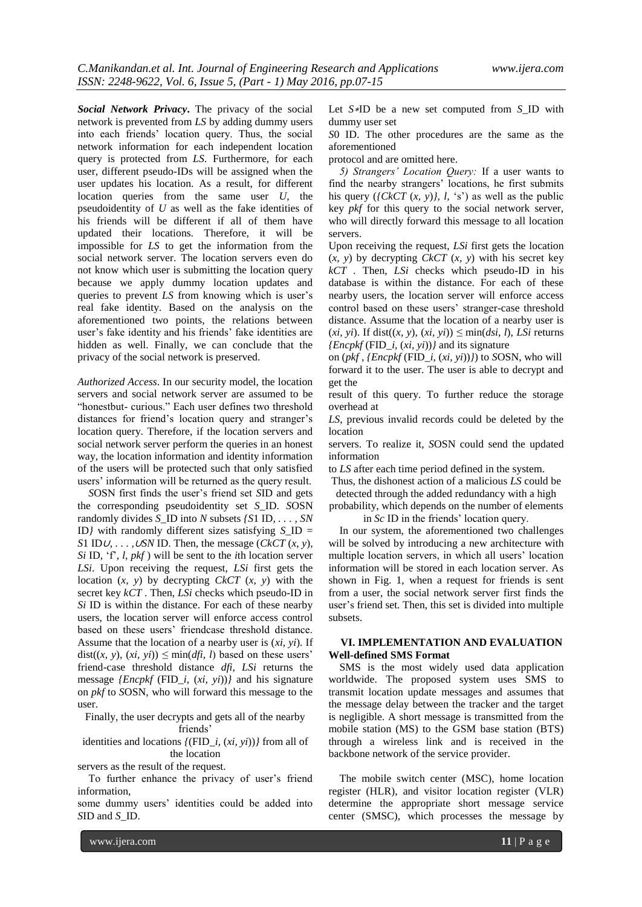*Social Network Privacy***.** The privacy of the social network is prevented from *LS* by adding dummy users into each friends' location query. Thus, the social network information for each independent location query is protected from *LS*. Furthermore, for each user, different pseudo-IDs will be assigned when the user updates his location. As a result, for different location queries from the same user *U*, the pseudoidentity of *U* as well as the fake identities of his friends will be different if all of them have updated their locations. Therefore, it will be impossible for *LS* to get the information from the social network server. The location servers even do not know which user is submitting the location query because we apply dummy location updates and queries to prevent *LS* from knowing which is user's real fake identity. Based on the analysis on the aforementioned two points, the relations between user's fake identity and his friends' fake identities are hidden as well. Finally, we can conclude that the privacy of the social network is preserved.

*Authorized Access*. In our security model, the location servers and social network server are assumed to be "honestbut- curious." Each user defines two threshold distances for friend's location query and stranger's location query. Therefore, if the location servers and social network server perform the queries in an honest way, the location information and identity information of the users will be protected such that only satisfied users' information will be returned as the query result.

*S*OSN first finds the user's friend set *S*ID and gets the corresponding pseudoidentity set *S\_*ID. *S*OSN randomly divides *S\_*ID into *N* subsets *{S*1 ID*, . . . , SN* ID*}* with randomly different sizes satisfying *S\_*ID = *S*1 ID∪*, . . . ,*∪*SN* ID. Then, the message (*CkCT* (*x, y*)*, Si* ID, 'f', *l, pkf* ) will be sent to the *i*th location server *LSi*. Upon receiving the request, *LSi* first gets the location (*x, y*) by decrypting *CkCT* (*x, y*) with the secret key *kCT* . Then, *LSi* checks which pseudo-ID in *Si* ID is within the distance. For each of these nearby users, the location server will enforce access control based on these users' friendcase threshold distance. Assume that the location of a nearby user is (*xi, yi*). If dist( $(x, y)$ ,  $(xi, yi)$ )  $\leq min(dfi, l)$  based on these users' friend-case threshold distance *dfi*, *LSi* returns the message *{Encpkf* (FID*\_i,* (*xi, yi*))*}* and his signature on *pkf* to *S*OSN, who will forward this message to the user.

Finally, the user decrypts and gets all of the nearby friends'

identities and locations *{*(FID*\_i,* (*xi, yi*))*}* from all of the location

servers as the result of the request.

To further enhance the privacy of user's friend information,

some dummy users' identities could be added into *S*ID and *S\_*ID.

Let *S*∗ID be a new set computed from *S\_*ID with dummy user set

*S*0 ID. The other procedures are the same as the aforementioned

protocol and are omitted here.

*5) Strangers' Location Query:* If a user wants to find the nearby strangers' locations, he first submits his query  $({\ell}CkCT (x, y), l, 's')$  as well as the public key *pkf* for this query to the social network server, who will directly forward this message to all location servers.

Upon receiving the request, *LSi* first gets the location  $(x, y)$  by decrypting *CkCT*  $(x, y)$  with his secret key *kCT* . Then, *LSi* checks which pseudo-ID in his database is within the distance. For each of these nearby users, the location server will enforce access control based on these users' stranger-case threshold distance. Assume that the location of a nearby user is  $(xi, yi)$ . If dist $((x, y), (xi, yi)) \le \min(ds$ *i, l)*, *LSi* returns *{Encpkf* (FID*\_i,* (*xi, yi*))*}* and its signature

on (*pkf , {Encpkf* (FID*\_i,* (*xi, yi*))*}*) to *S*OSN, who will forward it to the user. The user is able to decrypt and get the

result of this query. To further reduce the storage overhead at

*LS*, previous invalid records could be deleted by the location

servers. To realize it, *S*OSN could send the updated information

to *LS* after each time period defined in the system.

Thus, the dishonest action of a malicious *LS* could be detected through the added redundancy with a high

probability, which depends on the number of elements in *Sc* ID in the friends' location query.

In our system, the aforementioned two challenges will be solved by introducing a new architecture with multiple location servers, in which all users' location information will be stored in each location server. As shown in Fig. 1, when a request for friends is sent from a user, the social network server first finds the user's friend set. Then, this set is divided into multiple subsets.

## **VI. IMPLEMENTATION AND EVALUATION Well-defined SMS Format**

SMS is the most widely used data application worldwide. The proposed system uses SMS to transmit location update messages and assumes that the message delay between the tracker and the target is negligible. A short message is transmitted from the mobile station (MS) to the GSM base station (BTS) through a wireless link and is received in the backbone network of the service provider.

The mobile switch center (MSC), home location register (HLR), and visitor location register (VLR) determine the appropriate short message service center (SMSC), which processes the message by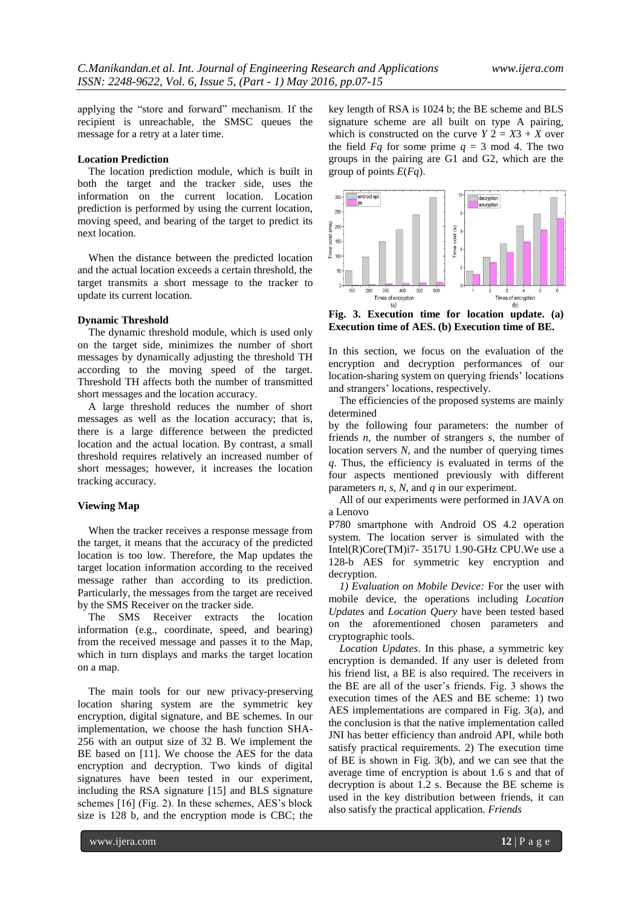applying the "store and forward" mechanism. If the recipient is unreachable, the SMSC queues the message for a retry at a later time.

#### **Location Prediction**

The location prediction module, which is built in both the target and the tracker side, uses the information on the current location. Location prediction is performed by using the current location, moving speed, and bearing of the target to predict its next location.

When the distance between the predicted location and the actual location exceeds a certain threshold, the target transmits a short message to the tracker to update its current location.

#### **Dynamic Threshold**

The dynamic threshold module, which is used only on the target side, minimizes the number of short messages by dynamically adjusting the threshold TH according to the moving speed of the target. Threshold TH affects both the number of transmitted short messages and the location accuracy.

A large threshold reduces the number of short messages as well as the location accuracy; that is, there is a large difference between the predicted location and the actual location. By contrast, a small threshold requires relatively an increased number of short messages; however, it increases the location tracking accuracy.

## **Viewing Map**

When the tracker receives a response message from the target, it means that the accuracy of the predicted location is too low. Therefore, the Map updates the target location information according to the received message rather than according to its prediction. Particularly, the messages from the target are received by the SMS Receiver on the tracker side.

The SMS Receiver extracts the location information (e.g., coordinate, speed, and bearing) from the received message and passes it to the Map, which in turn displays and marks the target location on a map.

The main tools for our new privacy-preserving location sharing system are the symmetric key encryption, digital signature, and BE schemes. In our implementation, we choose the hash function SHA-256 with an output size of 32 B. We implement the BE based on [11]. We choose the AES for the data encryption and decryption. Two kinds of digital signatures have been tested in our experiment, including the RSA signature [15] and BLS signature schemes [16] (Fig. 2). In these schemes, AES's block size is 128 b, and the encryption mode is CBC; the key length of RSA is 1024 b; the BE scheme and BLS signature scheme are all built on type A pairing, which is constructed on the curve  $Y 2 = X3 + X$  over the field  $Fq$  for some prime  $q = 3 \text{ mod } 4$ . The two groups in the pairing are G1 and G2, which are the group of points *E*(*Fq*).



**Fig. 3. Execution time for location update. (a) Execution time of AES. (b) Execution time of BE.**

In this section, we focus on the evaluation of the encryption and decryption performances of our location-sharing system on querying friends' locations and strangers' locations, respectively.

The efficiencies of the proposed systems are mainly determined

by the following four parameters: the number of friends *n*, the number of strangers *s*, the number of location servers *N*, and the number of querying times *q*. Thus, the efficiency is evaluated in terms of the four aspects mentioned previously with different parameters *n*, *s*, *N*, and *q* in our experiment.

All of our experiments were performed in JAVA on a Lenovo

P780 smartphone with Android OS 4.2 operation system. The location server is simulated with the Intel(R)Core(TM)i7- 3517U 1.90-GHz CPU.We use a 128-b AES for symmetric key encryption and decryption.

*1) Evaluation on Mobile Device:* For the user with mobile device, the operations including *Location Updates* and *Location Query* have been tested based on the aforementioned chosen parameters and cryptographic tools.

*Location Updates*. In this phase, a symmetric key encryption is demanded. If any user is deleted from his friend list, a BE is also required. The receivers in the BE are all of the user's friends. Fig. 3 shows the execution times of the AES and BE scheme: 1) two AES implementations are compared in Fig. 3(a), and the conclusion is that the native implementation called JNI has better efficiency than android API, while both satisfy practical requirements. 2) The execution time of BE is shown in Fig. 3(b), and we can see that the average time of encryption is about 1.6 s and that of decryption is about 1.2 s. Because the BE scheme is used in the key distribution between friends, it can also satisfy the practical application. *Friends*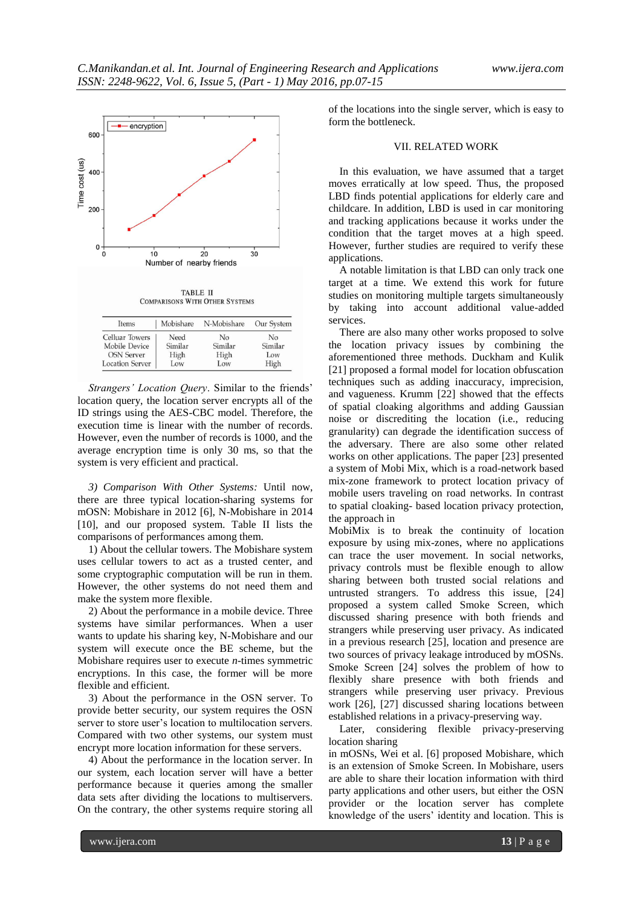

TARLE II **COMPARISONS WITH OTHER SYSTEMS** 

| Items                  | Mobishare | N-Mobishare | Our System |
|------------------------|-----------|-------------|------------|
| Celluar Towers         | Need      | No          | No         |
| Mobile Device          | Similar   | Similar     | Similar    |
| <b>OSN</b> Server      | High      | High        | Low        |
| <b>Location Server</b> | Low       | Low         | High       |

*Strangers' Location Query*. Similar to the friends' location query, the location server encrypts all of the ID strings using the AES-CBC model. Therefore, the execution time is linear with the number of records. However, even the number of records is 1000, and the average encryption time is only 30 ms, so that the system is very efficient and practical.

*3) Comparison With Other Systems:* Until now, there are three typical location-sharing systems for mOSN: Mobishare in 2012 [6], N-Mobishare in 2014 [10], and our proposed system. Table II lists the comparisons of performances among them.

1) About the cellular towers. The Mobishare system uses cellular towers to act as a trusted center, and some cryptographic computation will be run in them. However, the other systems do not need them and make the system more flexible.

2) About the performance in a mobile device. Three systems have similar performances. When a user wants to update his sharing key, N-Mobishare and our system will execute once the BE scheme, but the Mobishare requires user to execute *n*-times symmetric encryptions. In this case, the former will be more flexible and efficient.

3) About the performance in the OSN server. To provide better security, our system requires the OSN server to store user's location to multilocation servers. Compared with two other systems, our system must encrypt more location information for these servers.

4) About the performance in the location server. In our system, each location server will have a better performance because it queries among the smaller data sets after dividing the locations to multiservers. On the contrary, the other systems require storing all of the locations into the single server, which is easy to form the bottleneck.

## VII. RELATED WORK

In this evaluation, we have assumed that a target moves erratically at low speed. Thus, the proposed LBD finds potential applications for elderly care and childcare. In addition, LBD is used in car monitoring and tracking applications because it works under the condition that the target moves at a high speed. However, further studies are required to verify these applications.

A notable limitation is that LBD can only track one target at a time. We extend this work for future studies on monitoring multiple targets simultaneously by taking into account additional value-added services.

There are also many other works proposed to solve the location privacy issues by combining the aforementioned three methods. Duckham and Kulik [21] proposed a formal model for location obfuscation techniques such as adding inaccuracy, imprecision, and vagueness. Krumm [22] showed that the effects of spatial cloaking algorithms and adding Gaussian noise or discrediting the location (i.e., reducing granularity) can degrade the identification success of the adversary. There are also some other related works on other applications. The paper [23] presented a system of Mobi Mix, which is a road-network based mix-zone framework to protect location privacy of mobile users traveling on road networks. In contrast to spatial cloaking- based location privacy protection, the approach in

MobiMix is to break the continuity of location exposure by using mix-zones, where no applications can trace the user movement. In social networks, privacy controls must be flexible enough to allow sharing between both trusted social relations and untrusted strangers. To address this issue, [24] proposed a system called Smoke Screen, which discussed sharing presence with both friends and strangers while preserving user privacy. As indicated in a previous research [25], location and presence are two sources of privacy leakage introduced by mOSNs. Smoke Screen [24] solves the problem of how to flexibly share presence with both friends and strangers while preserving user privacy. Previous work [26], [27] discussed sharing locations between established relations in a privacy-preserving way.

Later, considering flexible privacy-preserving location sharing

in mOSNs, Wei et al. [6] proposed Mobishare, which is an extension of Smoke Screen. In Mobishare, users are able to share their location information with third party applications and other users, but either the OSN provider or the location server has complete knowledge of the users' identity and location. This is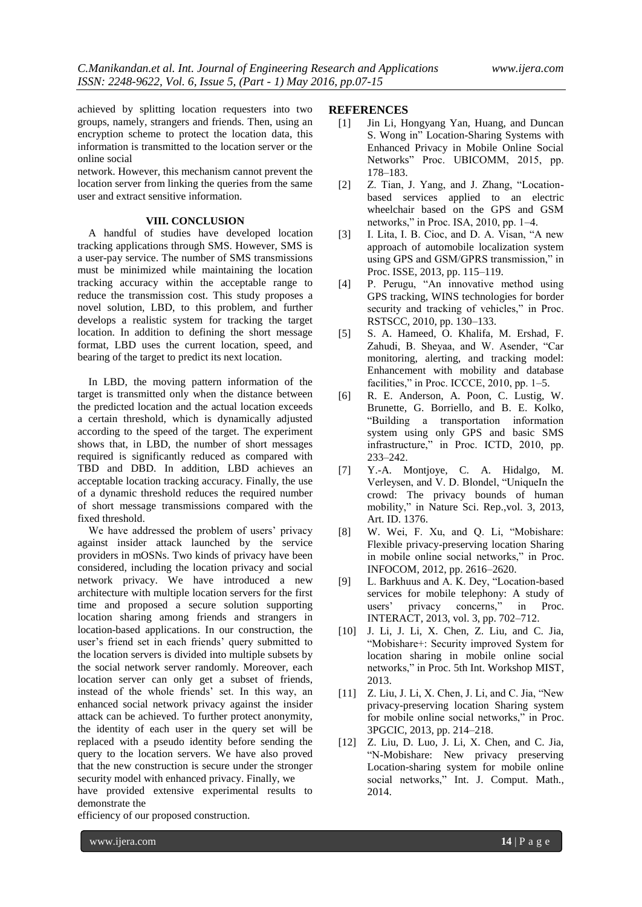achieved by splitting location requesters into two groups, namely, strangers and friends. Then, using an encryption scheme to protect the location data, this information is transmitted to the location server or the online social

network. However, this mechanism cannot prevent the location server from linking the queries from the same user and extract sensitive information.

## **VIII. CONCLUSION**

A handful of studies have developed location tracking applications through SMS. However, SMS is a user-pay service. The number of SMS transmissions must be minimized while maintaining the location tracking accuracy within the acceptable range to reduce the transmission cost. This study proposes a novel solution, LBD, to this problem, and further develops a realistic system for tracking the target location. In addition to defining the short message format, LBD uses the current location, speed, and bearing of the target to predict its next location.

In LBD, the moving pattern information of the target is transmitted only when the distance between the predicted location and the actual location exceeds a certain threshold, which is dynamically adjusted according to the speed of the target. The experiment shows that, in LBD, the number of short messages required is significantly reduced as compared with TBD and DBD. In addition, LBD achieves an acceptable location tracking accuracy. Finally, the use of a dynamic threshold reduces the required number of short message transmissions compared with the fixed threshold.

We have addressed the problem of users' privacy against insider attack launched by the service providers in mOSNs. Two kinds of privacy have been considered, including the location privacy and social network privacy. We have introduced a new architecture with multiple location servers for the first time and proposed a secure solution supporting location sharing among friends and strangers in location-based applications. In our construction, the user's friend set in each friends' query submitted to the location servers is divided into multiple subsets by the social network server randomly. Moreover, each location server can only get a subset of friends, instead of the whole friends' set. In this way, an enhanced social network privacy against the insider attack can be achieved. To further protect anonymity, the identity of each user in the query set will be replaced with a pseudo identity before sending the query to the location servers. We have also proved that the new construction is secure under the stronger security model with enhanced privacy. Finally, we have provided extensive experimental results to demonstrate the

#### **REFERENCES**

- [1] Jin Li, Hongyang Yan, Huang, and Duncan S. Wong in" Location-Sharing Systems with Enhanced Privacy in Mobile Online Social Networks" Proc. UBICOMM, 2015, pp. 178–183.
- $[2]$  Z. Tian, J. Yang, and J. Zhang, "Locationbased services applied to an electric wheelchair based on the GPS and GSM networks," in Proc. ISA,  $2010$ , pp. 1–4.
- [3] I. Lita, I. B. Cioc, and D. A. Visan, "A new approach of automobile localization system using GPS and GSM/GPRS transmission," in Proc. ISSE, 2013, pp. 115–119.
- [4] P. Perugu, "An innovative method using GPS tracking, WINS technologies for border security and tracking of vehicles," in Proc. RSTSCC, 2010, pp. 130–133.
- [5] S. A. Hameed, O. Khalifa, M. Ershad, F. Zahudi, B. Sheyaa, and W. Asender, "Car monitoring, alerting, and tracking model: Enhancement with mobility and database facilities," in Proc. ICCCE,  $2010$ , pp.  $1-5$ .
- [6] R. E. Anderson, A. Poon, C. Lustig, W. Brunette, G. Borriello, and B. E. Kolko, ―Building a transportation information system using only GPS and basic SMS infrastructure," in Proc. ICTD, 2010, pp. 233–242.
- [7] Y.-A. Montjoye, C. A. Hidalgo, M. Verleysen, and V. D. Blondel, "UniqueIn the crowd: The privacy bounds of human mobility," in Nature Sci. Rep., vol. 3, 2013, Art. ID. 1376.
- [8] W. Wei, F. Xu, and Q. Li, "Mobishare: Flexible privacy-preserving location Sharing in mobile online social networks," in Proc. INFOCOM, 2012, pp. 2616–2620.
- [9] L. Barkhuus and A. K. Dey, "Location-based services for mobile telephony: A study of users' privacy concerns," in Proc. INTERACT, 2013, vol. 3, pp. 702–712.
- [10] J. Li, J. Li, X. Chen, Z. Liu, and C. Jia, ―Mobishare+: Security improved System for location sharing in mobile online social networks," in Proc. 5th Int. Workshop MIST, 2013.
- $[11]$  Z. Liu, J. Li, X. Chen, J. Li, and C. Jia, "New privacy-preserving location Sharing system for mobile online social networks," in Proc. 3PGCIC, 2013, pp. 214–218.
- [12] Z. Liu, D. Luo, J. Li, X. Chen, and C. Jia, ―N-Mobishare: New privacy preserving Location-sharing system for mobile online social networks," Int. J. Comput. Math., 2014.

efficiency of our proposed construction.